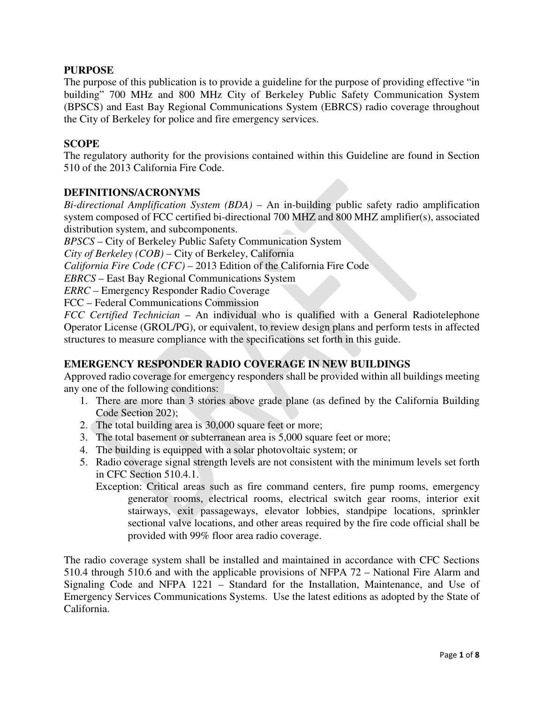## **PURPOSE**

The purpose of this publication is to provide a guideline for the purpose of providing effective "in building" 700 MHz and 800 MHz City of Berkeley Public Safety Communication System (BPSCS) and East Bay Regional Communications System (EBRCS) radio coverage throughout the City of Berkeley for police and fire emergency services.

### **SCOPE**

The regulatory authority for the provisions contained within this Guideline are found in Section 510 of the 2013 California Fire Code.

### **DEFINITIONS/ACRONYMS**

*Bi-directional Amplification System (BDA)* – An in-building public safety radio amplification system composed of FCC certified bi-directional 700 MHZ and 800 MHZ amplifier(s), associated distribution system, and subcomponents.

*BPSCS* – City of Berkeley Public Safety Communication System

*City of Berkeley (COB)* – City of Berkeley, California

*California Fire Code (CFC)* – 2013 Edition of the California Fire Code

*EBRCS* – East Bay Regional Communications System

*ERRC* – Emergency Responder Radio Coverage

FCC – Federal Communications Commission

*FCC Certified Technician* – An individual who is qualified with a General Radiotelephone Operator License (GROL/PG), or equivalent, to review design plans and perform tests in affected structures to measure compliance with the specifications set forth in this guide.

## **EMERGENCY RESPONDER RADIO COVERAGE IN NEW BUILDINGS**

Approved radio coverage for emergency responders shall be provided within all buildings meeting any one of the following conditions:

- 1. There are more than 3 stories above grade plane (as defined by the California Building Code Section 202);
- 2. The total building area is 30,000 square feet or more;
- 3. The total basement or subterranean area is 5,000 square feet or more;
- 4. The building is equipped with a solar photovoltaic system; or
- 5. Radio coverage signal strength levels are not consistent with the minimum levels set forth in CFC Section 510.4.1.
	- Exception: Critical areas such as fire command centers, fire pump rooms, emergency generator rooms, electrical rooms, electrical switch gear rooms, interior exit stairways, exit passageways, elevator lobbies, standpipe locations, sprinkler sectional valve locations, and other areas required by the fire code official shall be provided with 99% floor area radio coverage.

The radio coverage system shall be installed and maintained in accordance with CFC Sections 510.4 through 510.6 and with the applicable provisions of NFPA 72 – National Fire Alarm and Signaling Code and NFPA 1221 – Standard for the Installation, Maintenance, and Use of Emergency Services Communications Systems. Use the latest editions as adopted by the State of California.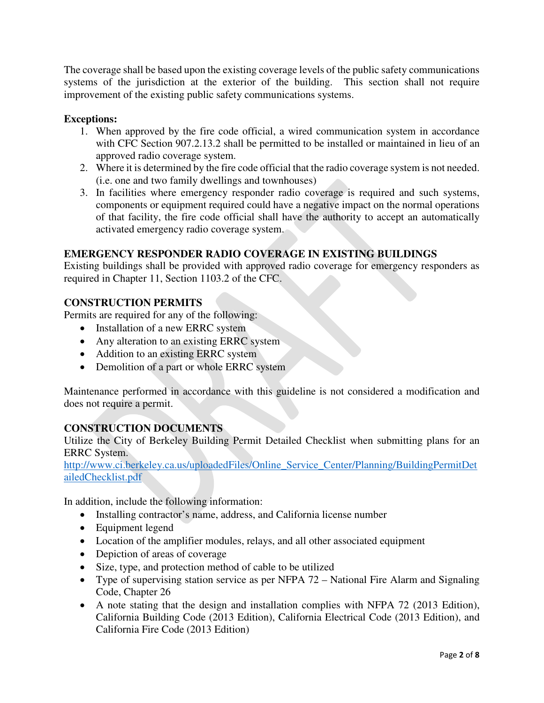The coverage shall be based upon the existing coverage levels of the public safety communications systems of the jurisdiction at the exterior of the building. This section shall not require improvement of the existing public safety communications systems.

## **Exceptions:**

- 1. When approved by the fire code official, a wired communication system in accordance with CFC Section 907.2.13.2 shall be permitted to be installed or maintained in lieu of an approved radio coverage system.
- 2. Where it is determined by the fire code official that the radio coverage system is not needed. (i.e. one and two family dwellings and townhouses)
- 3. In facilities where emergency responder radio coverage is required and such systems, components or equipment required could have a negative impact on the normal operations of that facility, the fire code official shall have the authority to accept an automatically activated emergency radio coverage system.

## **EMERGENCY RESPONDER RADIO COVERAGE IN EXISTING BUILDINGS**

Existing buildings shall be provided with approved radio coverage for emergency responders as required in Chapter 11, Section 1103.2 of the CFC.

## **CONSTRUCTION PERMITS**

Permits are required for any of the following:

- Installation of a new ERRC system
- Any alteration to an existing ERRC system
- Addition to an existing ERRC system
- Demolition of a part or whole ERRC system

Maintenance performed in accordance with this guideline is not considered a modification and does not require a permit.

### **CONSTRUCTION DOCUMENTS**

Utilize the City of Berkeley Building Permit Detailed Checklist when submitting plans for an ERRC System.

[http://www.ci.berkeley.ca.us/uploadedFiles/Online\\_Service\\_Center/Planning/BuildingPermitDet](http://www.ci.berkeley.ca.us/uploadedFiles/Online_Service_Center/Planning/BuildingPermitDetailedChecklist.pdf) [ailedChecklist.pdf](http://www.ci.berkeley.ca.us/uploadedFiles/Online_Service_Center/Planning/BuildingPermitDetailedChecklist.pdf)

In addition, include the following information:

- Installing contractor's name, address, and California license number
- Equipment legend
- Location of the amplifier modules, relays, and all other associated equipment
- Depiction of areas of coverage
- Size, type, and protection method of cable to be utilized
- Type of supervising station service as per NFPA 72 National Fire Alarm and Signaling Code, Chapter 26
- A note stating that the design and installation complies with NFPA 72 (2013 Edition), California Building Code (2013 Edition), California Electrical Code (2013 Edition), and California Fire Code (2013 Edition)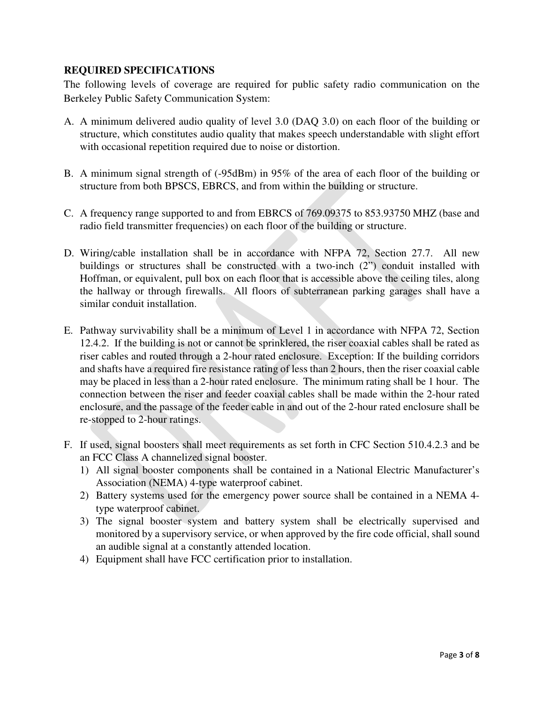## **REQUIRED SPECIFICATIONS**

The following levels of coverage are required for public safety radio communication on the Berkeley Public Safety Communication System:

- A. A minimum delivered audio quality of level 3.0 (DAQ 3.0) on each floor of the building or structure, which constitutes audio quality that makes speech understandable with slight effort with occasional repetition required due to noise or distortion.
- B. A minimum signal strength of (-95dBm) in 95% of the area of each floor of the building or structure from both BPSCS, EBRCS, and from within the building or structure.
- C. A frequency range supported to and from EBRCS of 769.09375 to 853.93750 MHZ (base and radio field transmitter frequencies) on each floor of the building or structure.
- D. Wiring/cable installation shall be in accordance with NFPA 72, Section 27.7. All new buildings or structures shall be constructed with a two-inch (2") conduit installed with Hoffman, or equivalent, pull box on each floor that is accessible above the ceiling tiles, along the hallway or through firewalls. All floors of subterranean parking garages shall have a similar conduit installation.
- E. Pathway survivability shall be a minimum of Level 1 in accordance with NFPA 72, Section 12.4.2. If the building is not or cannot be sprinklered, the riser coaxial cables shall be rated as riser cables and routed through a 2-hour rated enclosure. Exception: If the building corridors and shafts have a required fire resistance rating of less than 2 hours, then the riser coaxial cable may be placed in less than a 2-hour rated enclosure. The minimum rating shall be 1 hour. The connection between the riser and feeder coaxial cables shall be made within the 2-hour rated enclosure, and the passage of the feeder cable in and out of the 2-hour rated enclosure shall be re-stopped to 2-hour ratings.
- F. If used, signal boosters shall meet requirements as set forth in CFC Section 510.4.2.3 and be an FCC Class A channelized signal booster.
	- 1) All signal booster components shall be contained in a National Electric Manufacturer's Association (NEMA) 4-type waterproof cabinet.
	- 2) Battery systems used for the emergency power source shall be contained in a NEMA 4 type waterproof cabinet.
	- 3) The signal booster system and battery system shall be electrically supervised and monitored by a supervisory service, or when approved by the fire code official, shall sound an audible signal at a constantly attended location.
	- 4) Equipment shall have FCC certification prior to installation.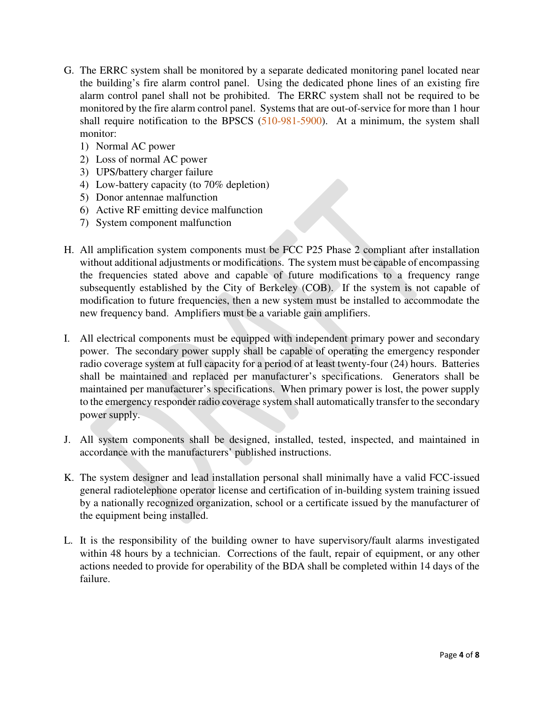- G. The ERRC system shall be monitored by a separate dedicated monitoring panel located near the building's fire alarm control panel. Using the dedicated phone lines of an existing fire alarm control panel shall not be prohibited. The ERRC system shall not be required to be monitored by the fire alarm control panel. Systems that are out-of-service for more than 1 hour shall require notification to the BPSCS (510-981-5900). At a minimum, the system shall monitor:
	- 1) Normal AC power
	- 2) Loss of normal AC power
	- 3) UPS/battery charger failure
	- 4) Low-battery capacity (to 70% depletion)
	- 5) Donor antennae malfunction
	- 6) Active RF emitting device malfunction
	- 7) System component malfunction
- H. All amplification system components must be FCC P25 Phase 2 compliant after installation without additional adjustments or modifications. The system must be capable of encompassing the frequencies stated above and capable of future modifications to a frequency range subsequently established by the City of Berkeley (COB). If the system is not capable of modification to future frequencies, then a new system must be installed to accommodate the new frequency band. Amplifiers must be a variable gain amplifiers.
- I. All electrical components must be equipped with independent primary power and secondary power. The secondary power supply shall be capable of operating the emergency responder radio coverage system at full capacity for a period of at least twenty-four (24) hours. Batteries shall be maintained and replaced per manufacturer's specifications. Generators shall be maintained per manufacturer's specifications. When primary power is lost, the power supply to the emergency responder radio coverage system shall automatically transfer to the secondary power supply.
- J. All system components shall be designed, installed, tested, inspected, and maintained in accordance with the manufacturers' published instructions.
- K. The system designer and lead installation personal shall minimally have a valid FCC-issued general radiotelephone operator license and certification of in-building system training issued by a nationally recognized organization, school or a certificate issued by the manufacturer of the equipment being installed.
- L. It is the responsibility of the building owner to have supervisory/fault alarms investigated within 48 hours by a technician. Corrections of the fault, repair of equipment, or any other actions needed to provide for operability of the BDA shall be completed within 14 days of the failure.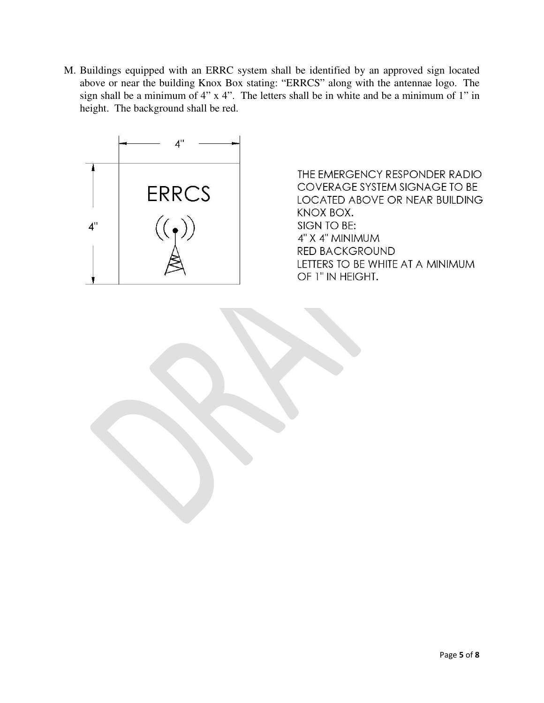M. Buildings equipped with an ERRC system shall be identified by an approved sign located above or near the building Knox Box stating: "ERRCS" along with the antennae logo. The sign shall be a minimum of 4" x 4". The letters shall be in white and be a minimum of 1" in height. The background shall be red.



THE EMERGENCY RESPONDER RADIO COVERAGE SYSTEM SIGNAGE TO BE LOCATED ABOVE OR NEAR BUILDING KNOX BOX. SIGN TO BE: 4" X 4" MINIMUM RED BACKGROUND LETTERS TO BE WHITE AT A MINIMUM OF 1" IN HEIGHT.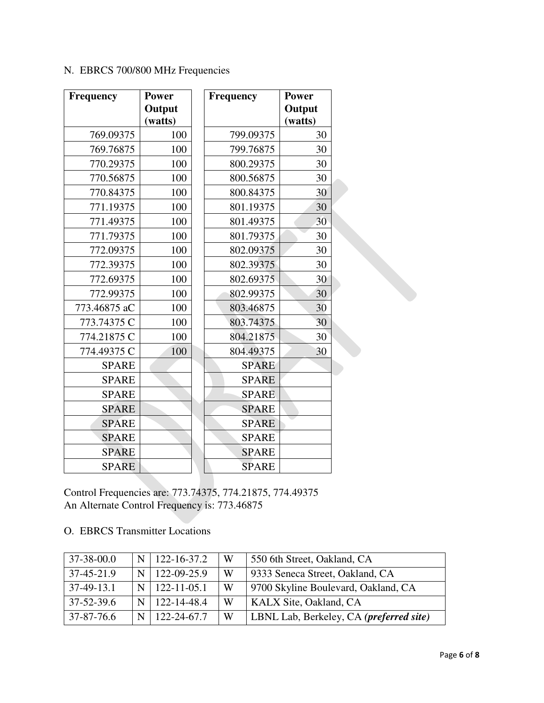# N. EBRCS 700/800 MHz Frequencies

| <b>Frequency</b> | <b>Power</b><br>Output<br>(watts) | <b>Frequency</b> | <b>Power</b><br>Output<br>(watts) |
|------------------|-----------------------------------|------------------|-----------------------------------|
| 769.09375        | 100                               | 799.09375        | 30                                |
| 769.76875        | 100                               | 799.76875        | 30                                |
| 770.29375        | 100                               | 800.29375        | 30                                |
| 770.56875        | 100                               | 800.56875        | 30                                |
| 770.84375        | 100                               | 800.84375        | 30                                |
| 771.19375        | 100                               | 801.19375        | 30                                |
| 771.49375        | 100                               | 801.49375        | 30                                |
| 771.79375        | 100                               | 801.79375        | 30                                |
| 772.09375        | 100                               | 802.09375        | 30                                |
| 772.39375        | 100                               | 802.39375        | 30                                |
| 772.69375        | 100                               | 802.69375        | 30                                |
| 772.99375        | 100                               | 802.99375        | 30                                |
| 773.46875 aC     | 100                               | 803.46875        | 30                                |
| 773.74375 C      | 100                               | 803.74375        | 30                                |
| 774.21875 C      | 100                               | 804.21875        | 30                                |
| 774.49375 C      | 100                               | 804.49375        | 30                                |
| <b>SPARE</b>     |                                   | <b>SPARE</b>     |                                   |
| <b>SPARE</b>     |                                   | <b>SPARE</b>     |                                   |
| <b>SPARE</b>     |                                   | <b>SPARE</b>     |                                   |
| <b>SPARE</b>     |                                   | <b>SPARE</b>     |                                   |
| <b>SPARE</b>     |                                   | <b>SPARE</b>     |                                   |
| <b>SPARE</b>     |                                   | <b>SPARE</b>     |                                   |
| <b>SPARE</b>     |                                   | <b>SPARE</b>     |                                   |
| <b>SPARE</b>     |                                   | <b>SPARE</b>     |                                   |

Control Frequencies are: 773.74375, 774.21875, 774.49375 An Alternate Control Frequency is: 773.46875

# O. EBRCS Transmitter Locations

| $37 - 38 - 00.0$ |   | 122-16-37.2       | W         | 550 6th Street, Oakland, CA             |
|------------------|---|-------------------|-----------|-----------------------------------------|
| $37-45-21.9$     | N | $122 - 09 - 25.9$ | W         | 9333 Seneca Street, Oakland, CA         |
| $37-49-13.1$     | N | $122 - 11 - 05.1$ | W         | 9700 Skyline Boulevard, Oakland, CA     |
| $37 - 52 - 39.6$ |   | 122-14-48.4       | W         | KALX Site, Oakland, CA                  |
| 37-87-76.6       |   | 122-24-67.7       | $\cdot$ W | LBNL Lab, Berkeley, CA (preferred site) |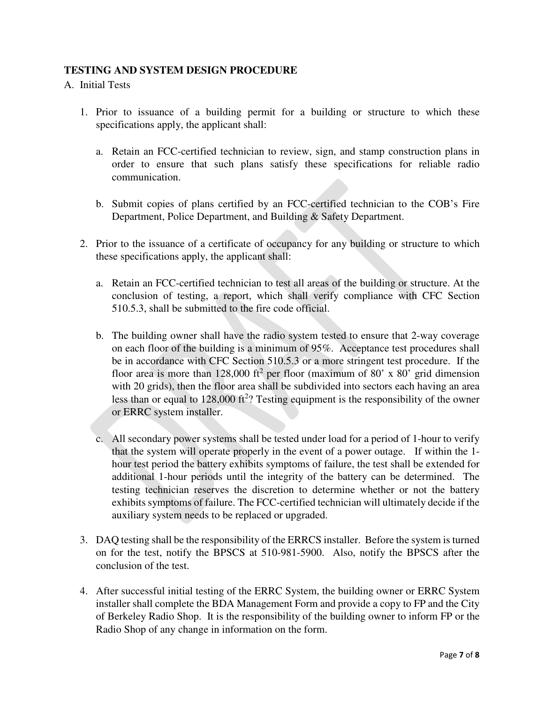## **TESTING AND SYSTEM DESIGN PROCEDURE**

### A. Initial Tests

- 1. Prior to issuance of a building permit for a building or structure to which these specifications apply, the applicant shall:
	- a. Retain an FCC-certified technician to review, sign, and stamp construction plans in order to ensure that such plans satisfy these specifications for reliable radio communication.
	- b. Submit copies of plans certified by an FCC-certified technician to the COB's Fire Department, Police Department, and Building & Safety Department.
- 2. Prior to the issuance of a certificate of occupancy for any building or structure to which these specifications apply, the applicant shall:
	- a. Retain an FCC-certified technician to test all areas of the building or structure. At the conclusion of testing, a report, which shall verify compliance with CFC Section 510.5.3, shall be submitted to the fire code official.
	- b. The building owner shall have the radio system tested to ensure that 2-way coverage on each floor of the building is a minimum of 95%. Acceptance test procedures shall be in accordance with CFC Section 510.5.3 or a more stringent test procedure. If the floor area is more than 128,000 ft<sup>2</sup> per floor (maximum of 80' x 80' grid dimension with 20 grids), then the floor area shall be subdivided into sectors each having an area less than or equal to  $128,000$  ft<sup>2</sup>? Testing equipment is the responsibility of the owner or ERRC system installer.
	- c. All secondary power systems shall be tested under load for a period of 1-hour to verify that the system will operate properly in the event of a power outage. If within the 1 hour test period the battery exhibits symptoms of failure, the test shall be extended for additional 1-hour periods until the integrity of the battery can be determined. The testing technician reserves the discretion to determine whether or not the battery exhibits symptoms of failure. The FCC-certified technician will ultimately decide if the auxiliary system needs to be replaced or upgraded.
- 3. DAQ testing shall be the responsibility of the ERRCS installer. Before the system is turned on for the test, notify the BPSCS at 510-981-5900. Also, notify the BPSCS after the conclusion of the test.
- 4. After successful initial testing of the ERRC System, the building owner or ERRC System installer shall complete the BDA Management Form and provide a copy to FP and the City of Berkeley Radio Shop. It is the responsibility of the building owner to inform FP or the Radio Shop of any change in information on the form.